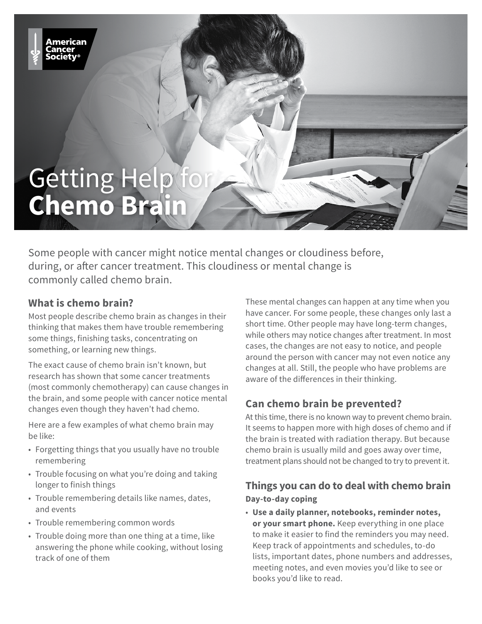

Some people with cancer might notice mental changes or cloudiness before, during, or after cancer treatment. This cloudiness or mental change is commonly called chemo brain.

## **What is chemo brain?**

mericaı

Most people describe chemo brain as changes in their thinking that makes them have trouble remembering some things, finishing tasks, concentrating on something, or learning new things.

The exact cause of chemo brain isn't known, but research has shown that some cancer treatments (most commonly chemotherapy) can cause changes in the brain, and some people with cancer notice mental changes even though they haven't had chemo.

Here are a few examples of what chemo brain may be like:

- Forgetting things that you usually have no trouble remembering
- Trouble focusing on what you're doing and taking longer to finish things
- Trouble remembering details like names, dates, and events
- Trouble remembering common words
- Trouble doing more than one thing at a time, like answering the phone while cooking, without losing track of one of them

These mental changes can happen at any time when you have cancer. For some people, these changes only last a short time. Other people may have long-term changes, while others may notice changes after treatment. In most cases, the changes are not easy to notice, and people around the person with cancer may not even notice any changes at all. Still, the people who have problems are aware of the differences in their thinking.

## **Can chemo brain be prevented?**

At this time, there is no known way to prevent chemo brain. It seems to happen more with high doses of chemo and if the brain is treated with radiation therapy. But because chemo brain is usually mild and goes away over time, treatment plans should not be changed to try to prevent it.

## **Things you can do to deal with chemo brain Day-to-day coping**

• **Use a daily planner, notebooks, reminder notes, or your smart phone.** Keep everything in one place to make it easier to find the reminders you may need. Keep track of appointments and schedules, to-do lists, important dates, phone numbers and addresses, meeting notes, and even movies you'd like to see or books you'd like to read.